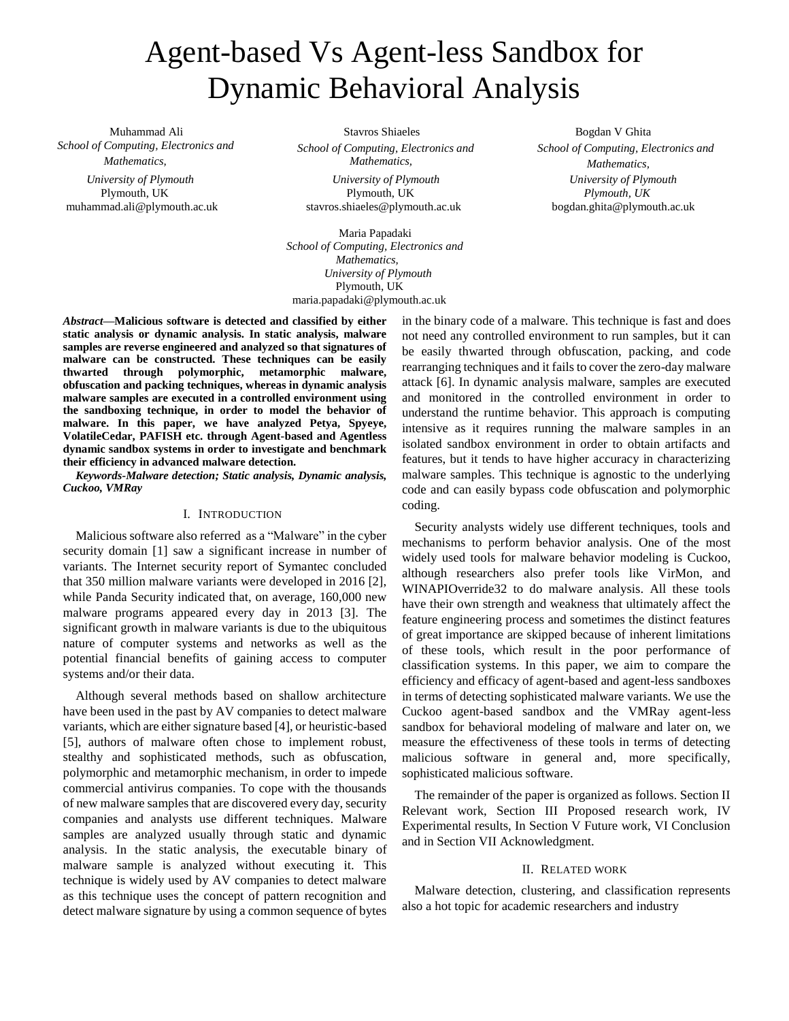# Agent-based Vs Agent-less Sandbox for Dynamic Behavioral Analysis

 Muhammad Ali *School of Computing, Electronics and* 

*Mathematics, University of Plymouth* Plymouth, UK muhammad.ali@plymouth.ac.uk

Stavros Shiaeles *School of Computing, Electronics and Mathematics, University of Plymouth*

 Plymouth, UK stavros.shiaeles@plymouth.ac.uk

 Maria Papadaki  *School of Computing, Electronics and Mathematics, University of Plymouth* Plymouth, UK maria.papadaki@plymouth.ac.uk

 Bogdan V Ghita *School of Computing, Electronics and Mathematics, University of Plymouth Plymouth, UK* bogdan.ghita@plymouth.ac.uk

*Abstract***—Malicious software is detected and classified by either static analysis or dynamic analysis. In static analysis, malware samples are reverse engineered and analyzed so that signatures of malware can be constructed. These techniques can be easily thwarted through polymorphic, metamorphic malware, obfuscation and packing techniques, whereas in dynamic analysis malware samples are executed in a controlled environment using the sandboxing technique, in order to model the behavior of malware. In this paper, we have analyzed Petya, Spyeye, VolatileCedar, PAFISH etc. through Agent-based and Agentless dynamic sandbox systems in order to investigate and benchmark their efficiency in advanced malware detection.**

*Keywords-Malware detection; Static analysis, Dynamic analysis, Cuckoo, VMRay*

# I. INTRODUCTION

Malicious software also referred as a "Malware" in the cyber security domain [1] saw a significant increase in number of variants. The Internet security report of Symantec concluded that 350 million malware variants were developed in 2016 [2], while Panda Security indicated that, on average, 160,000 new malware programs appeared every day in 2013 [3]. The significant growth in malware variants is due to the ubiquitous nature of computer systems and networks as well as the potential financial benefits of gaining access to computer systems and/or their data.

Although several methods based on shallow architecture have been used in the past by AV companies to detect malware variants, which are either signature based [4], or heuristic-based [5], authors of malware often chose to implement robust, stealthy and sophisticated methods, such as obfuscation, polymorphic and metamorphic mechanism, in order to impede commercial antivirus companies. To cope with the thousands of new malware samples that are discovered every day, security companies and analysts use different techniques. Malware samples are analyzed usually through static and dynamic analysis. In the static analysis, the executable binary of malware sample is analyzed without executing it. This technique is widely used by AV companies to detect malware as this technique uses the concept of pattern recognition and detect malware signature by using a common sequence of bytes in the binary code of a malware. This technique is fast and does not need any controlled environment to run samples, but it can be easily thwarted through obfuscation, packing, and code rearranging techniques and it fails to cover the zero-day malware attack [6]. In dynamic analysis malware, samples are executed and monitored in the controlled environment in order to understand the runtime behavior. This approach is computing intensive as it requires running the malware samples in an isolated sandbox environment in order to obtain artifacts and features, but it tends to have higher accuracy in characterizing malware samples. This technique is agnostic to the underlying code and can easily bypass code obfuscation and polymorphic coding.

Security analysts widely use different techniques, tools and mechanisms to perform behavior analysis. One of the most widely used tools for malware behavior modeling is Cuckoo, although researchers also prefer tools like VirMon, and WINAPIOverride32 to do malware analysis. All these tools have their own strength and weakness that ultimately affect the feature engineering process and sometimes the distinct features of great importance are skipped because of inherent limitations of these tools, which result in the poor performance of classification systems. In this paper, we aim to compare the efficiency and efficacy of agent-based and agent-less sandboxes in terms of detecting sophisticated malware variants. We use the Cuckoo agent-based sandbox and the VMRay agent-less sandbox for behavioral modeling of malware and later on, we measure the effectiveness of these tools in terms of detecting malicious software in general and, more specifically, sophisticated malicious software.

The remainder of the paper is organized as follows. Section II Relevant work, Section III Proposed research work, IV Experimental results, In Section V Future work, VI Conclusion and in Section VII Acknowledgment.

#### II. RELATED WORK

Malware detection, clustering, and classification represents also a hot topic for academic researchers and industry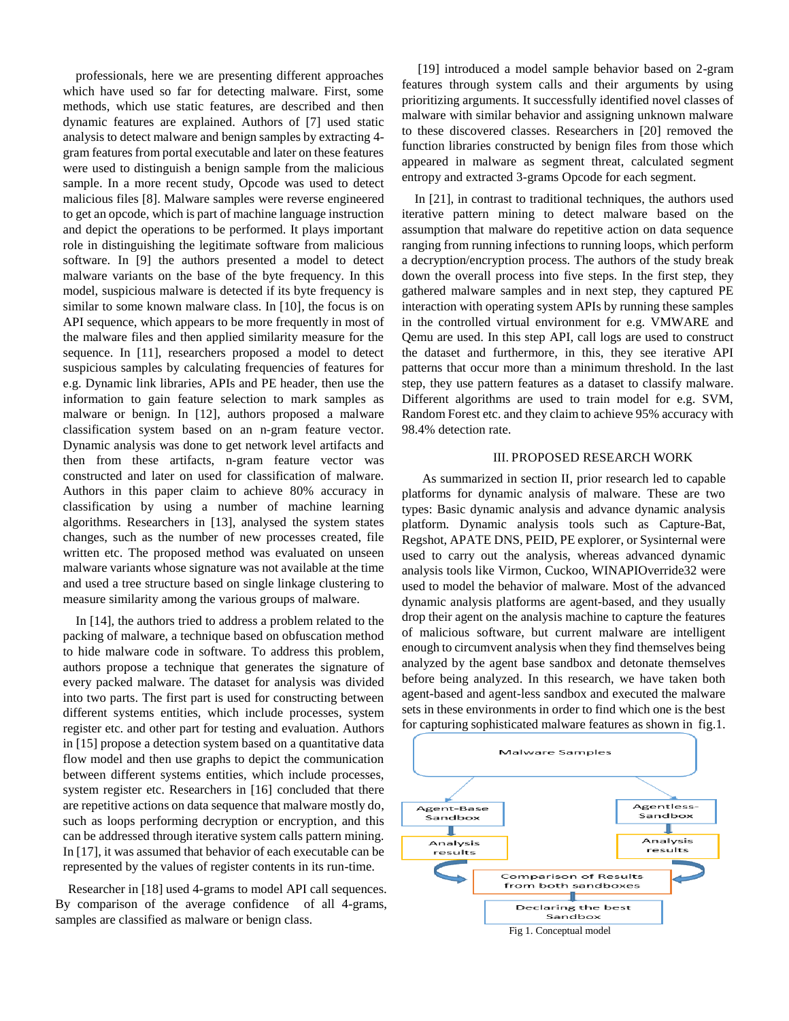professionals, here we are presenting different approaches which have used so far for detecting malware. First, some methods, which use static features, are described and then dynamic features are explained. Authors of [7] used static analysis to detect malware and benign samples by extracting 4 gram features from portal executable and later on these features were used to distinguish a benign sample from the malicious sample. In a more recent study, Opcode was used to detect malicious files [8]. Malware samples were reverse engineered to get an opcode, which is part of machine language instruction and depict the operations to be performed. It plays important role in distinguishing the legitimate software from malicious software. In [9] the authors presented a model to detect malware variants on the base of the byte frequency. In this model, suspicious malware is detected if its byte frequency is similar to some known malware class. In [10], the focus is on API sequence, which appears to be more frequently in most of the malware files and then applied similarity measure for the sequence. In [11], researchers proposed a model to detect suspicious samples by calculating frequencies of features for e.g. Dynamic link libraries, APIs and PE header, then use the information to gain feature selection to mark samples as malware or benign. In [12], authors proposed a malware classification system based on an n-gram feature vector. Dynamic analysis was done to get network level artifacts and then from these artifacts, n-gram feature vector was constructed and later on used for classification of malware. Authors in this paper claim to achieve 80% accuracy in classification by using a number of machine learning algorithms. Researchers in [13], analysed the system states changes, such as the number of new processes created, file written etc. The proposed method was evaluated on unseen malware variants whose signature was not available at the time and used a tree structure based on single linkage clustering to measure similarity among the various groups of malware.

In [14], the authors tried to address a problem related to the packing of malware, a technique based on obfuscation method to hide malware code in software. To address this problem, authors propose a technique that generates the signature of every packed malware. The dataset for analysis was divided into two parts. The first part is used for constructing between different systems entities, which include processes, system register etc. and other part for testing and evaluation. Authors in [15] propose a detection system based on a quantitative data flow model and then use graphs to depict the communication between different systems entities, which include processes, system register etc. Researchers in [16] concluded that there are repetitive actions on data sequence that malware mostly do, such as loops performing decryption or encryption, and this can be addressed through iterative system calls pattern mining. In [17], it was assumed that behavior of each executable can be represented by the values of register contents in its run-time.

Researcher in [18] used 4-grams to model API call sequences. By comparison of the average confidence of all 4-grams, samples are classified as malware or benign class.

[19] introduced a model sample behavior based on 2-gram features through system calls and their arguments by using prioritizing arguments. It successfully identified novel classes of malware with similar behavior and assigning unknown malware to these discovered classes. Researchers in [20] removed the function libraries constructed by benign files from those which appeared in malware as segment threat, calculated segment entropy and extracted 3-grams Opcode for each segment.

In [21], in contrast to traditional techniques, the authors used iterative pattern mining to detect malware based on the assumption that malware do repetitive action on data sequence ranging from running infections to running loops, which perform a decryption/encryption process. The authors of the study break down the overall process into five steps. In the first step, they gathered malware samples and in next step, they captured PE interaction with operating system APIs by running these samples in the controlled virtual environment for e.g. VMWARE and Qemu are used. In this step API, call logs are used to construct the dataset and furthermore, in this, they see iterative API patterns that occur more than a minimum threshold. In the last step, they use pattern features as a dataset to classify malware. Different algorithms are used to train model for e.g. SVM, Random Forest etc. and they claim to achieve 95% accuracy with 98.4% detection rate.

## III. PROPOSED RESEARCH WORK

As summarized in section II, prior research led to capable platforms for dynamic analysis of malware. These are two types: Basic dynamic analysis and advance dynamic analysis platform. Dynamic analysis tools such as Capture-Bat, Regshot, APATE DNS, PEID, PE explorer, or Sysinternal were used to carry out the analysis, whereas advanced dynamic analysis tools like Virmon, Cuckoo, WINAPIOverride32 were used to model the behavior of malware. Most of the advanced dynamic analysis platforms are agent-based, and they usually drop their agent on the analysis machine to capture the features of malicious software, but current malware are intelligent enough to circumvent analysis when they find themselves being analyzed by the agent base sandbox and detonate themselves before being analyzed. In this research, we have taken both agent-based and agent-less sandbox and executed the malware sets in these environments in order to find which one is the best for capturing sophisticated malware features as shown in fig.1.

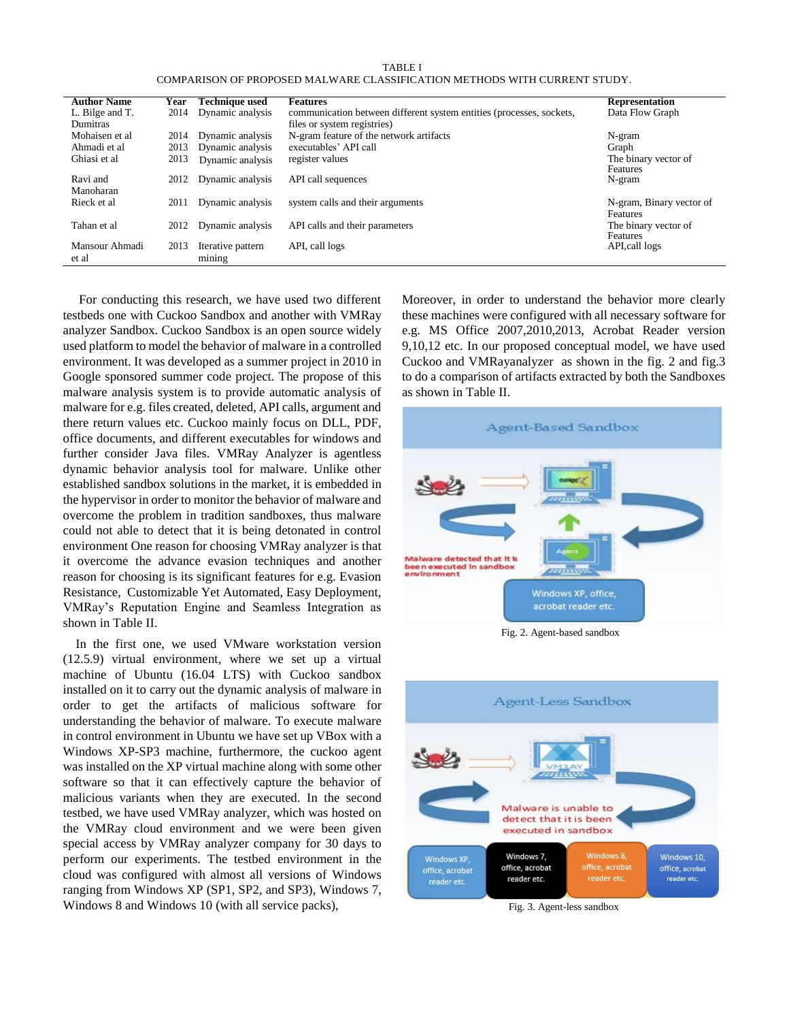TABLE I COMPARISON OF PROPOSED MALWARE CLASSIFICATION METHODS WITH CURRENT STUDY.

| <b>Author Name</b>      | Year                                                       | Technique used              | <b>Features</b>                                                      | <b>Representation</b>                       |  |
|-------------------------|------------------------------------------------------------|-----------------------------|----------------------------------------------------------------------|---------------------------------------------|--|
| L. Bilge and T.         | 2014                                                       | Dynamic analysis            | communication between different system entities (processes, sockets, | Data Flow Graph                             |  |
| <b>Dumitras</b>         |                                                            |                             | files or system registries)                                          |                                             |  |
| Mohaisen et al          | 2014                                                       | Dynamic analysis            | N-gram feature of the network artifacts                              | N-gram                                      |  |
| Ahmadi et al            | 2013                                                       | Dynamic analysis            | executables' API call                                                | Graph                                       |  |
| Ghiasi et al            | 2013                                                       | Dynamic analysis            | register values                                                      | The binary vector of<br>Features            |  |
| Ravi and<br>Manoharan   | 2012                                                       | Dynamic analysis            | API call sequences                                                   | N-gram                                      |  |
| Rieck et al.            | 2011                                                       | Dynamic analysis            | system calls and their arguments                                     | N-gram, Binary vector of<br><b>Features</b> |  |
| Tahan et al             | Dynamic analysis<br>API calls and their parameters<br>2012 |                             |                                                                      | The binary vector of<br>Features            |  |
| Mansour Ahmadi<br>et al | 2013                                                       | Iterative pattern<br>mining | API, call logs                                                       | API, call logs                              |  |

For conducting this research, we have used two different testbeds one with Cuckoo Sandbox and another with VMRay analyzer Sandbox. Cuckoo Sandbox is an open source widely used platform to model the behavior of malware in a controlled environment. It was developed as a summer project in 2010 in Google sponsored summer code project. The propose of this malware analysis system is to provide automatic analysis of malware for e.g. files created, deleted, API calls, argument and there return values etc. Cuckoo mainly focus on DLL, PDF, office documents, and different executables for windows and further consider Java files. VMRay Analyzer is agentless dynamic behavior analysis tool for malware. Unlike other established sandbox solutions in the market, it is embedded in the hypervisor in order to monitor the behavior of malware and overcome the problem in tradition sandboxes, thus malware could not able to detect that it is being detonated in control environment One reason for choosing VMRay analyzer is that it overcome the advance evasion techniques and another reason for choosing is its significant features for e.g. Evasion Resistance, Customizable Yet Automated, Easy Deployment, VMRay's Reputation Engine and Seamless Integration as shown in Table II.

In the first one, we used VMware workstation version (12.5.9) virtual environment, where we set up a virtual machine of Ubuntu (16.04 LTS) with Cuckoo sandbox installed on it to carry out the dynamic analysis of malware in order to get the artifacts of malicious software for understanding the behavior of malware. To execute malware in control environment in Ubuntu we have set up VBox with a Windows XP-SP3 machine, furthermore, the cuckoo agent was installed on the XP virtual machine along with some other software so that it can effectively capture the behavior of malicious variants when they are executed. In the second testbed, we have used VMRay analyzer, which was hosted on the VMRay cloud environment and we were been given special access by VMRay analyzer company for 30 days to perform our experiments. The testbed environment in the cloud was configured with almost all versions of Windows ranging from Windows XP (SP1, SP2, and SP3), Windows 7, Windows 8 and Windows 10 (with all service packs),

Moreover, in order to understand the behavior more clearly these machines were configured with all necessary software for e.g. MS Office 2007,2010,2013, Acrobat Reader version 9,10,12 etc. In our proposed conceptual model, we have used Cuckoo and VMRayanalyzer as shown in the fig. 2 and fig.3 to do a comparison of artifacts extracted by both the Sandboxes as shown in Table II.

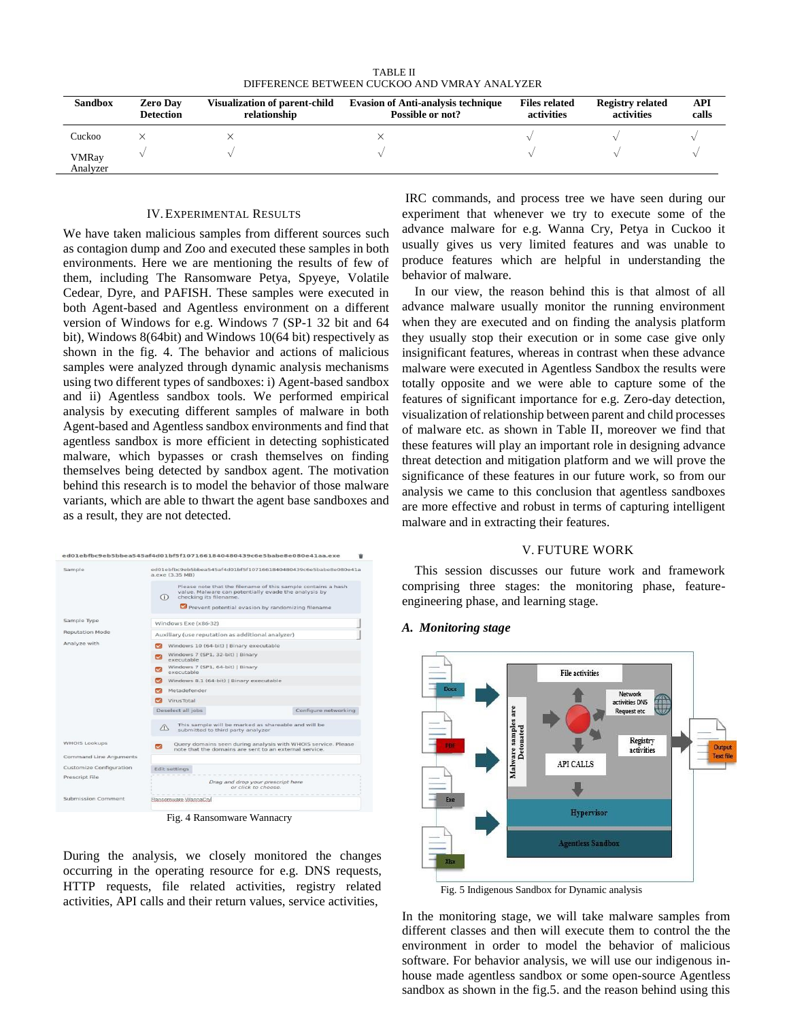TABLE II DIFFERENCE BETWEEN CUCKOO AND VMRAY ANALYZER

| <b>Sandbox</b>           | <b>Zero Day</b><br><b>Detection</b> | <b>Visualization of parent-child</b><br>relationship | <b>Evasion of Anti-analysis technique</b><br>Possible or not? | <b>Files related</b><br>activities | <b>Registry related</b><br>activities | API<br>calls |
|--------------------------|-------------------------------------|------------------------------------------------------|---------------------------------------------------------------|------------------------------------|---------------------------------------|--------------|
| Cuckoo                   |                                     |                                                      |                                                               |                                    |                                       |              |
| <b>VMRay</b><br>Analyzer |                                     |                                                      |                                                               |                                    |                                       |              |

## IV.EXPERIMENTAL RESULTS

We have taken malicious samples from different sources such as contagion dump and Zoo and executed these samples in both environments. Here we are mentioning the results of few of them, including The Ransomware Petya, Spyeye, Volatile Cedear, Dyre, and PAFISH. These samples were executed in both Agent-based and Agentless environment on a different version of Windows for e.g. Windows 7 (SP-1 32 bit and 64 bit), Windows 8(64bit) and Windows 10(64 bit) respectively as shown in the fig. 4. The behavior and actions of malicious samples were analyzed through dynamic analysis mechanisms using two different types of sandboxes: i) Agent-based sandbox and ii) Agentless sandbox tools. We performed empirical analysis by executing different samples of malware in both Agent-based and Agentless sandbox environments and find that agentless sandbox is more efficient in detecting sophisticated malware, which bypasses or crash themselves on finding themselves being detected by sandbox agent. The motivation behind this research is to model the behavior of those malware variants, which are able to thwart the agent base sandboxes and as a result, they are not detected.



Fig. 4 Ransomware Wannacry

During the analysis, we closely monitored the changes occurring in the operating resource for e.g. DNS requests, HTTP requests, file related activities, registry related activities, API calls and their return values, service activities,

IRC commands, and process tree we have seen during our experiment that whenever we try to execute some of the advance malware for e.g. Wanna Cry, Petya in Cuckoo it usually gives us very limited features and was unable to produce features which are helpful in understanding the behavior of malware.

In our view, the reason behind this is that almost of all advance malware usually monitor the running environment when they are executed and on finding the analysis platform they usually stop their execution or in some case give only insignificant features, whereas in contrast when these advance malware were executed in Agentless Sandbox the results were totally opposite and we were able to capture some of the features of significant importance for e.g. Zero-day detection, visualization of relationship between parent and child processes of malware etc. as shown in Table II, moreover we find that these features will play an important role in designing advance threat detection and mitigation platform and we will prove the significance of these features in our future work, so from our analysis we came to this conclusion that agentless sandboxes are more effective and robust in terms of capturing intelligent malware and in extracting their features.

### V. FUTURE WORK

This session discusses our future work and framework comprising three stages: the monitoring phase, featureengineering phase, and learning stage.

#### *A. Monitoring stage*



Fig. 5 Indigenous Sandbox for Dynamic analysis

In the monitoring stage, we will take malware samples from different classes and then will execute them to control the the environment in order to model the behavior of malicious software. For behavior analysis, we will use our indigenous inhouse made agentless sandbox or some open-source Agentless sandbox as shown in the fig.5. and the reason behind using this